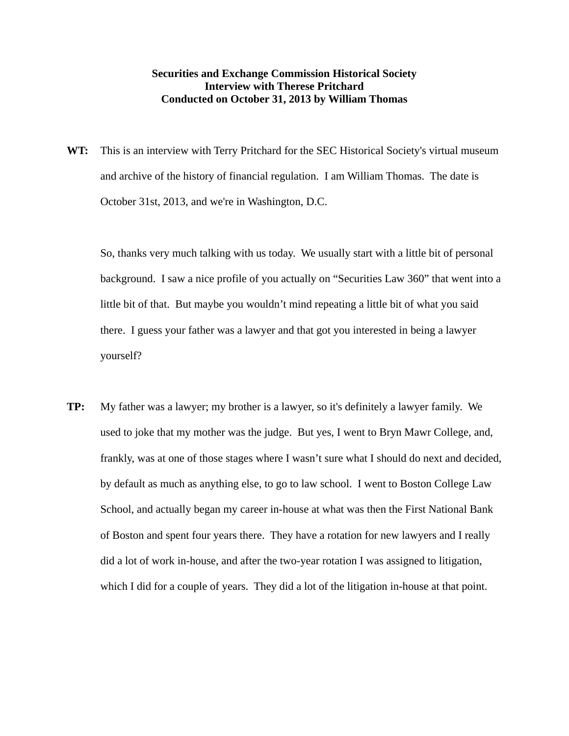## **Securities and Exchange Commission Historical Society Interview with Therese Pritchard Conducted on October 31, 2013 by William Thomas**

**WT:** This is an interview with Terry Pritchard for the SEC Historical Society's virtual museum and archive of the history of financial regulation. I am William Thomas. The date is October 31st, 2013, and we're in Washington, D.C.

 So, thanks very much talking with us today. We usually start with a little bit of personal background. I saw a nice profile of you actually on "Securities Law 360" that went into a little bit of that. But maybe you wouldn't mind repeating a little bit of what you said there. I guess your father was a lawyer and that got you interested in being a lawyer yourself?

**TP:** My father was a lawyer; my brother is a lawyer, so it's definitely a lawyer family. We used to joke that my mother was the judge. But yes, I went to Bryn Mawr College, and, frankly, was at one of those stages where I wasn't sure what I should do next and decided, by default as much as anything else, to go to law school. I went to Boston College Law School, and actually began my career in-house at what was then the First National Bank of Boston and spent four years there. They have a rotation for new lawyers and I really did a lot of work in-house, and after the two-year rotation I was assigned to litigation, which I did for a couple of years. They did a lot of the litigation in-house at that point.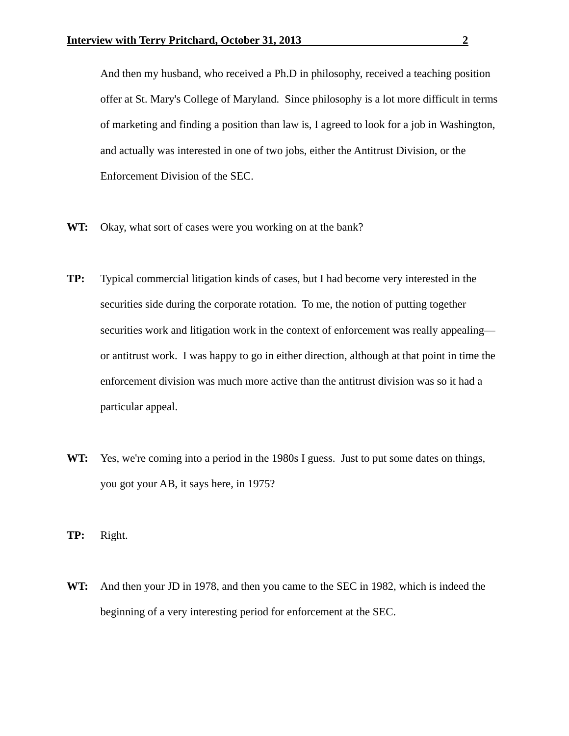And then my husband, who received a Ph.D in philosophy, received a teaching position offer at St. Mary's College of Maryland. Since philosophy is a lot more difficult in terms of marketing and finding a position than law is, I agreed to look for a job in Washington, and actually was interested in one of two jobs, either the Antitrust Division, or the Enforcement Division of the SEC.

- WT: Okay, what sort of cases were you working on at the bank?
- **TP:** Typical commercial litigation kinds of cases, but I had become very interested in the securities side during the corporate rotation. To me, the notion of putting together securities work and litigation work in the context of enforcement was really appealing or antitrust work. I was happy to go in either direction, although at that point in time the enforcement division was much more active than the antitrust division was so it had a particular appeal.
- **WT:** Yes, we're coming into a period in the 1980s I guess. Just to put some dates on things, you got your AB, it says here, in 1975?
- **TP:** Right.
- **WT:** And then your JD in 1978, and then you came to the SEC in 1982, which is indeed the beginning of a very interesting period for enforcement at the SEC.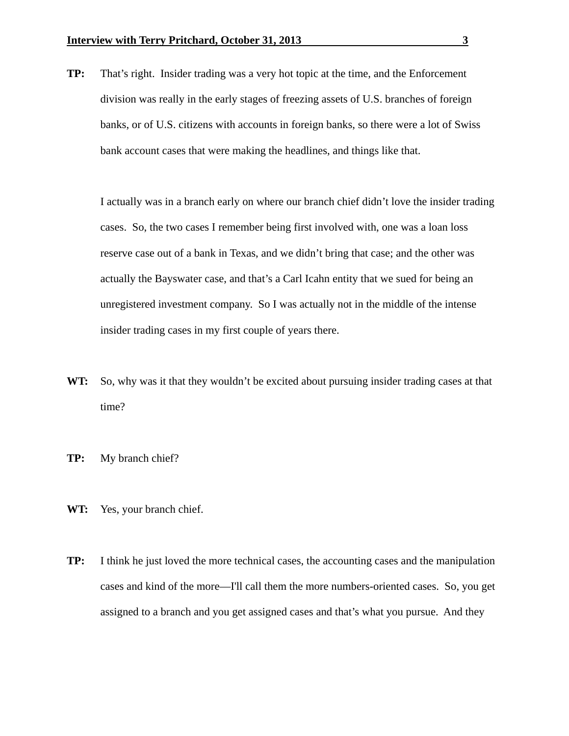**TP:** That's right. Insider trading was a very hot topic at the time, and the Enforcement division was really in the early stages of freezing assets of U.S. branches of foreign banks, or of U.S. citizens with accounts in foreign banks, so there were a lot of Swiss bank account cases that were making the headlines, and things like that.

 I actually was in a branch early on where our branch chief didn't love the insider trading cases. So, the two cases I remember being first involved with, one was a loan loss reserve case out of a bank in Texas, and we didn't bring that case; and the other was actually the Bayswater case, and that's a Carl Icahn entity that we sued for being an unregistered investment company. So I was actually not in the middle of the intense insider trading cases in my first couple of years there.

- **WT:** So, why was it that they wouldn't be excited about pursuing insider trading cases at that time?
- **TP:** My branch chief?
- **WT:** Yes, your branch chief.
- **TP:** I think he just loved the more technical cases, the accounting cases and the manipulation cases and kind of the more—I'll call them the more numbers-oriented cases. So, you get assigned to a branch and you get assigned cases and that's what you pursue. And they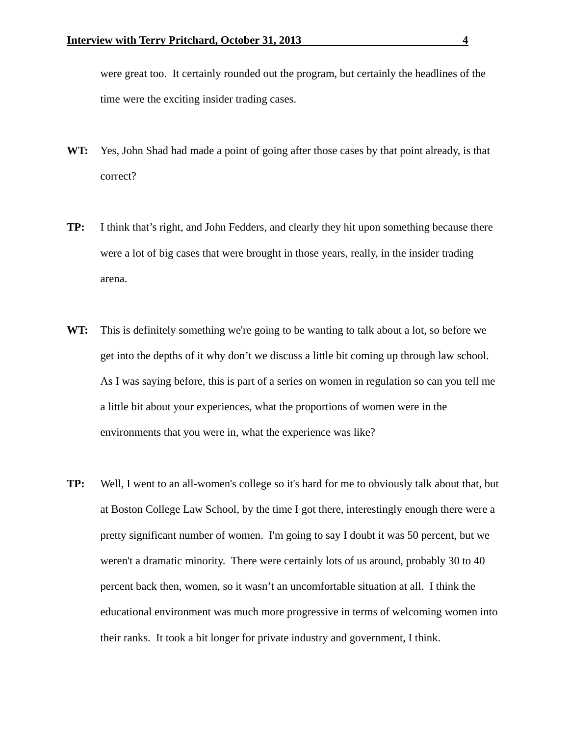were great too. It certainly rounded out the program, but certainly the headlines of the time were the exciting insider trading cases.

- **WT:** Yes, John Shad had made a point of going after those cases by that point already, is that correct?
- **TP:** I think that's right, and John Fedders, and clearly they hit upon something because there were a lot of big cases that were brought in those years, really, in the insider trading arena.
- **WT:** This is definitely something we're going to be wanting to talk about a lot, so before we get into the depths of it why don't we discuss a little bit coming up through law school. As I was saying before, this is part of a series on women in regulation so can you tell me a little bit about your experiences, what the proportions of women were in the environments that you were in, what the experience was like?
- **TP:** Well, I went to an all-women's college so it's hard for me to obviously talk about that, but at Boston College Law School, by the time I got there, interestingly enough there were a pretty significant number of women. I'm going to say I doubt it was 50 percent, but we weren't a dramatic minority. There were certainly lots of us around, probably 30 to 40 percent back then, women, so it wasn't an uncomfortable situation at all. I think the educational environment was much more progressive in terms of welcoming women into their ranks. It took a bit longer for private industry and government, I think.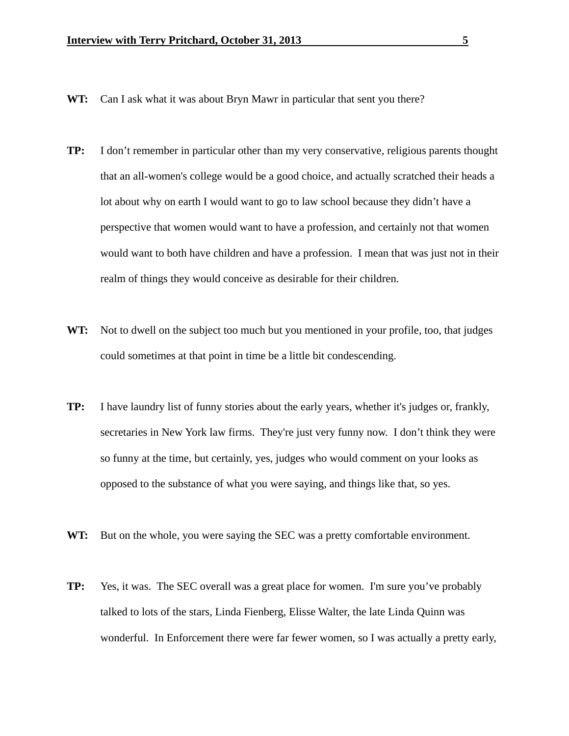- **WT:** Can I ask what it was about Bryn Mawr in particular that sent you there?
- **TP:** I don't remember in particular other than my very conservative, religious parents thought that an all-women's college would be a good choice, and actually scratched their heads a lot about why on earth I would want to go to law school because they didn't have a perspective that women would want to have a profession, and certainly not that women would want to both have children and have a profession. I mean that was just not in their realm of things they would conceive as desirable for their children.
- **WT:** Not to dwell on the subject too much but you mentioned in your profile, too, that judges could sometimes at that point in time be a little bit condescending.
- **TP:** I have laundry list of funny stories about the early years, whether it's judges or, frankly, secretaries in New York law firms. They're just very funny now. I don't think they were so funny at the time, but certainly, yes, judges who would comment on your looks as opposed to the substance of what you were saying, and things like that, so yes.
- **WT:** But on the whole, you were saying the SEC was a pretty comfortable environment.
- **TP:** Yes, it was. The SEC overall was a great place for women. I'm sure you've probably talked to lots of the stars, Linda Fienberg, Elisse Walter, the late Linda Quinn was wonderful. In Enforcement there were far fewer women, so I was actually a pretty early,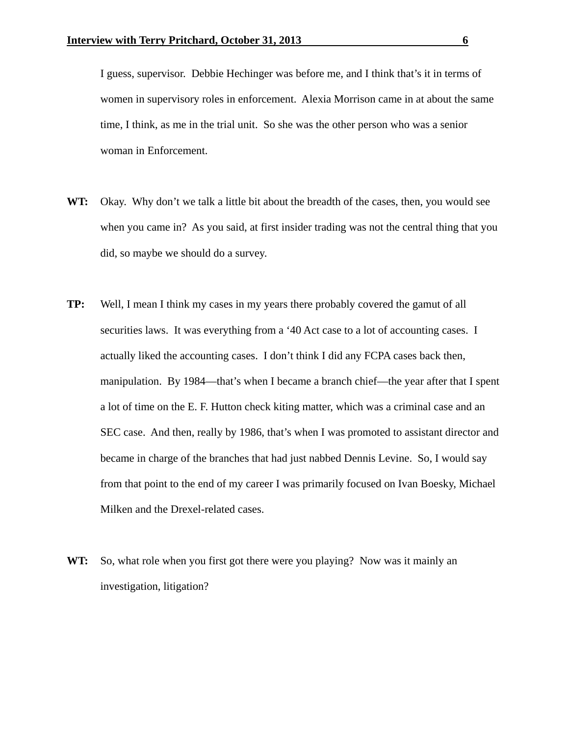I guess, supervisor. Debbie Hechinger was before me, and I think that's it in terms of women in supervisory roles in enforcement. Alexia Morrison came in at about the same time, I think, as me in the trial unit. So she was the other person who was a senior woman in Enforcement.

- **WT:** Okay. Why don't we talk a little bit about the breadth of the cases, then, you would see when you came in? As you said, at first insider trading was not the central thing that you did, so maybe we should do a survey.
- **TP:** Well, I mean I think my cases in my years there probably covered the gamut of all securities laws. It was everything from a '40 Act case to a lot of accounting cases. I actually liked the accounting cases. I don't think I did any FCPA cases back then, manipulation. By 1984—that's when I became a branch chief—the year after that I spent a lot of time on the E. F. Hutton check kiting matter, which was a criminal case and an SEC case. And then, really by 1986, that's when I was promoted to assistant director and became in charge of the branches that had just nabbed Dennis Levine. So, I would say from that point to the end of my career I was primarily focused on Ivan Boesky, Michael Milken and the Drexel-related cases.
- **WT:** So, what role when you first got there were you playing? Now was it mainly an investigation, litigation?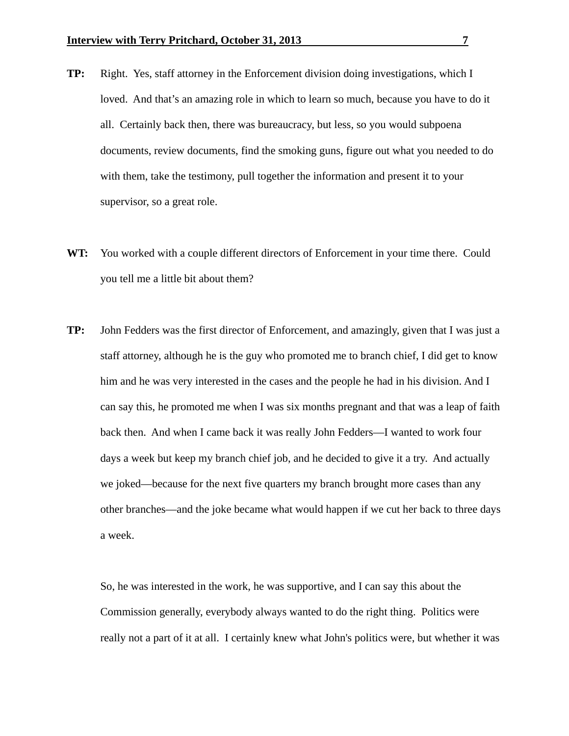- **TP:** Right. Yes, staff attorney in the Enforcement division doing investigations, which I loved. And that's an amazing role in which to learn so much, because you have to do it all. Certainly back then, there was bureaucracy, but less, so you would subpoena documents, review documents, find the smoking guns, figure out what you needed to do with them, take the testimony, pull together the information and present it to your supervisor, so a great role.
- **WT:** You worked with a couple different directors of Enforcement in your time there. Could you tell me a little bit about them?
- **TP:** John Fedders was the first director of Enforcement, and amazingly, given that I was just a staff attorney, although he is the guy who promoted me to branch chief, I did get to know him and he was very interested in the cases and the people he had in his division. And I can say this, he promoted me when I was six months pregnant and that was a leap of faith back then. And when I came back it was really John Fedders—I wanted to work four days a week but keep my branch chief job, and he decided to give it a try. And actually we joked—because for the next five quarters my branch brought more cases than any other branches—and the joke became what would happen if we cut her back to three days a week.

 So, he was interested in the work, he was supportive, and I can say this about the Commission generally, everybody always wanted to do the right thing. Politics were really not a part of it at all. I certainly knew what John's politics were, but whether it was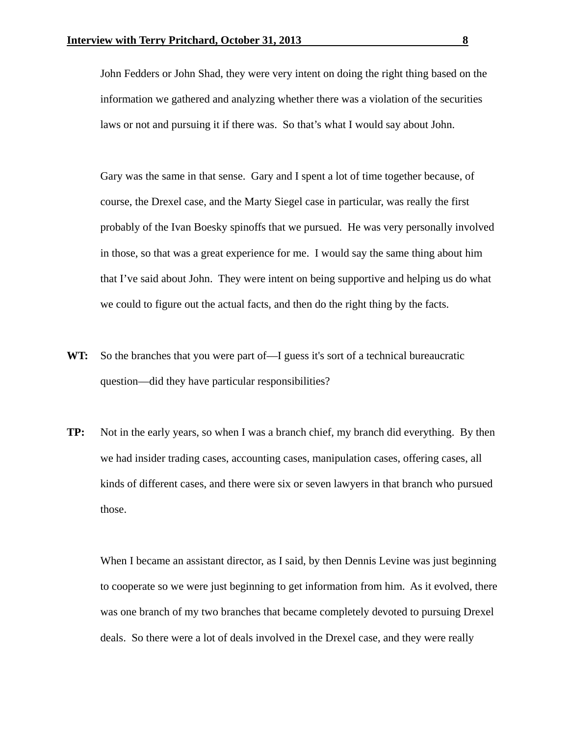John Fedders or John Shad, they were very intent on doing the right thing based on the information we gathered and analyzing whether there was a violation of the securities laws or not and pursuing it if there was. So that's what I would say about John.

 Gary was the same in that sense. Gary and I spent a lot of time together because, of course, the Drexel case, and the Marty Siegel case in particular, was really the first probably of the Ivan Boesky spinoffs that we pursued. He was very personally involved in those, so that was a great experience for me. I would say the same thing about him that I've said about John. They were intent on being supportive and helping us do what we could to figure out the actual facts, and then do the right thing by the facts.

- **WT:** So the branches that you were part of—I guess it's sort of a technical bureaucratic question—did they have particular responsibilities?
- **TP:** Not in the early years, so when I was a branch chief, my branch did everything. By then we had insider trading cases, accounting cases, manipulation cases, offering cases, all kinds of different cases, and there were six or seven lawyers in that branch who pursued those.

When I became an assistant director, as I said, by then Dennis Levine was just beginning to cooperate so we were just beginning to get information from him. As it evolved, there was one branch of my two branches that became completely devoted to pursuing Drexel deals. So there were a lot of deals involved in the Drexel case, and they were really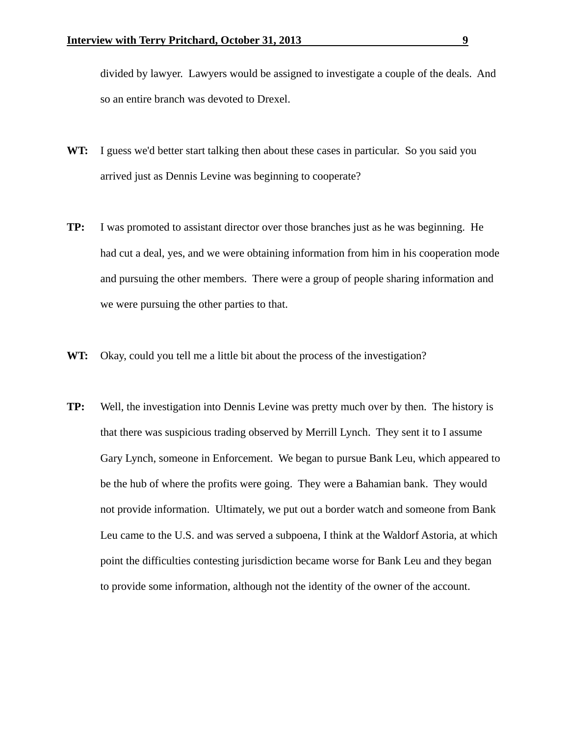divided by lawyer. Lawyers would be assigned to investigate a couple of the deals. And so an entire branch was devoted to Drexel.

- **WT:** I guess we'd better start talking then about these cases in particular. So you said you arrived just as Dennis Levine was beginning to cooperate?
- **TP:** I was promoted to assistant director over those branches just as he was beginning. He had cut a deal, yes, and we were obtaining information from him in his cooperation mode and pursuing the other members. There were a group of people sharing information and we were pursuing the other parties to that.
- **WT:** Okay, could you tell me a little bit about the process of the investigation?
- **TP:** Well, the investigation into Dennis Levine was pretty much over by then. The history is that there was suspicious trading observed by Merrill Lynch. They sent it to I assume Gary Lynch, someone in Enforcement. We began to pursue Bank Leu, which appeared to be the hub of where the profits were going. They were a Bahamian bank. They would not provide information. Ultimately, we put out a border watch and someone from Bank Leu came to the U.S. and was served a subpoena, I think at the Waldorf Astoria, at which point the difficulties contesting jurisdiction became worse for Bank Leu and they began to provide some information, although not the identity of the owner of the account.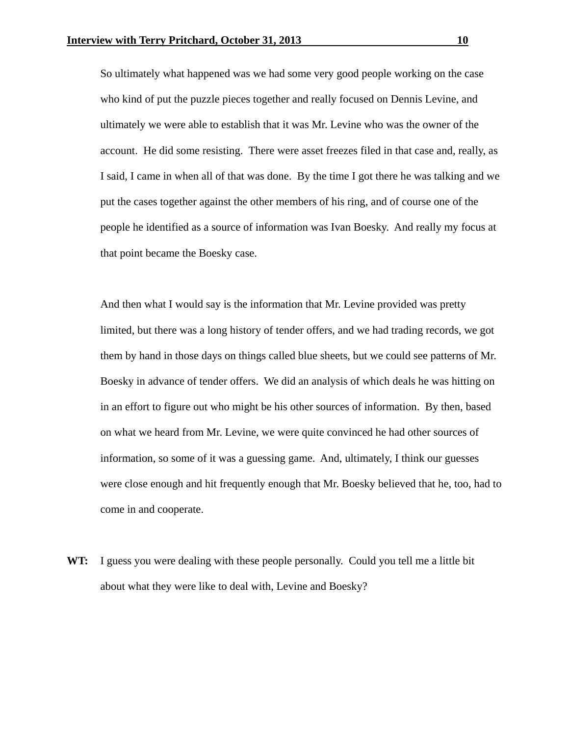So ultimately what happened was we had some very good people working on the case who kind of put the puzzle pieces together and really focused on Dennis Levine, and ultimately we were able to establish that it was Mr. Levine who was the owner of the account. He did some resisting. There were asset freezes filed in that case and, really, as I said, I came in when all of that was done. By the time I got there he was talking and we put the cases together against the other members of his ring, and of course one of the people he identified as a source of information was Ivan Boesky. And really my focus at that point became the Boesky case.

 And then what I would say is the information that Mr. Levine provided was pretty limited, but there was a long history of tender offers, and we had trading records, we got them by hand in those days on things called blue sheets, but we could see patterns of Mr. Boesky in advance of tender offers. We did an analysis of which deals he was hitting on in an effort to figure out who might be his other sources of information. By then, based on what we heard from Mr. Levine, we were quite convinced he had other sources of information, so some of it was a guessing game. And, ultimately, I think our guesses were close enough and hit frequently enough that Mr. Boesky believed that he, too, had to come in and cooperate.

**WT:** I guess you were dealing with these people personally. Could you tell me a little bit about what they were like to deal with, Levine and Boesky?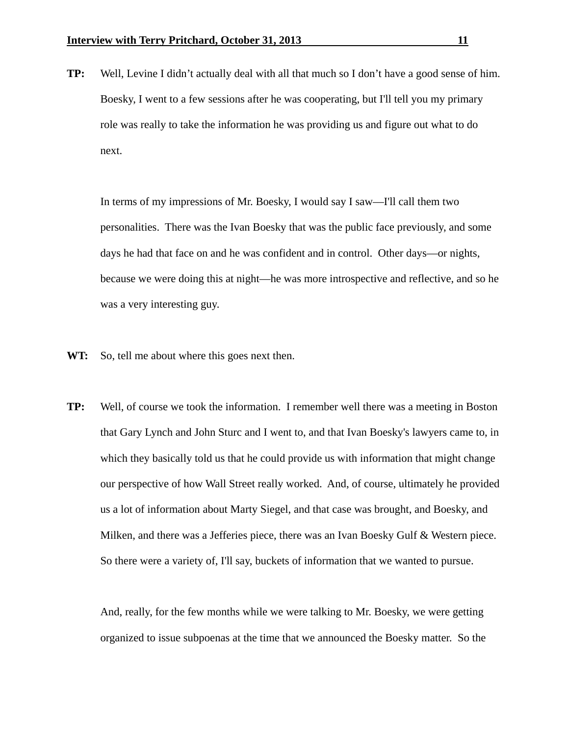**TP:** Well, Levine I didn't actually deal with all that much so I don't have a good sense of him. Boesky, I went to a few sessions after he was cooperating, but I'll tell you my primary role was really to take the information he was providing us and figure out what to do next.

 In terms of my impressions of Mr. Boesky, I would say I saw—I'll call them two personalities. There was the Ivan Boesky that was the public face previously, and some days he had that face on and he was confident and in control. Other days—or nights, because we were doing this at night—he was more introspective and reflective, and so he was a very interesting guy.

- WT: So, tell me about where this goes next then.
- **TP:** Well, of course we took the information. I remember well there was a meeting in Boston that Gary Lynch and John Sturc and I went to, and that Ivan Boesky's lawyers came to, in which they basically told us that he could provide us with information that might change our perspective of how Wall Street really worked. And, of course, ultimately he provided us a lot of information about Marty Siegel, and that case was brought, and Boesky, and Milken, and there was a Jefferies piece, there was an Ivan Boesky Gulf & Western piece. So there were a variety of, I'll say, buckets of information that we wanted to pursue.

 And, really, for the few months while we were talking to Mr. Boesky, we were getting organized to issue subpoenas at the time that we announced the Boesky matter. So the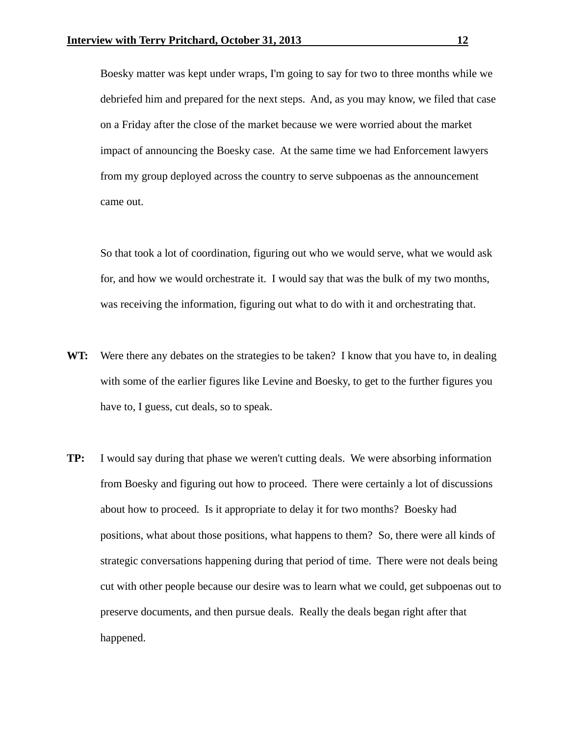Boesky matter was kept under wraps, I'm going to say for two to three months while we debriefed him and prepared for the next steps. And, as you may know, we filed that case on a Friday after the close of the market because we were worried about the market impact of announcing the Boesky case. At the same time we had Enforcement lawyers from my group deployed across the country to serve subpoenas as the announcement came out.

 So that took a lot of coordination, figuring out who we would serve, what we would ask for, and how we would orchestrate it. I would say that was the bulk of my two months, was receiving the information, figuring out what to do with it and orchestrating that.

- **WT:** Were there any debates on the strategies to be taken? I know that you have to, in dealing with some of the earlier figures like Levine and Boesky, to get to the further figures you have to, I guess, cut deals, so to speak.
- **TP:** I would say during that phase we weren't cutting deals. We were absorbing information from Boesky and figuring out how to proceed. There were certainly a lot of discussions about how to proceed. Is it appropriate to delay it for two months? Boesky had positions, what about those positions, what happens to them? So, there were all kinds of strategic conversations happening during that period of time. There were not deals being cut with other people because our desire was to learn what we could, get subpoenas out to preserve documents, and then pursue deals. Really the deals began right after that happened.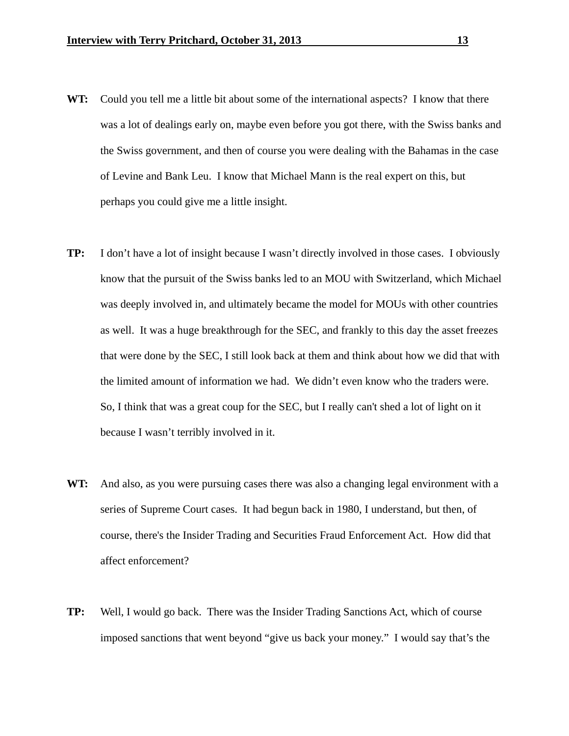- **WT:** Could you tell me a little bit about some of the international aspects? I know that there was a lot of dealings early on, maybe even before you got there, with the Swiss banks and the Swiss government, and then of course you were dealing with the Bahamas in the case of Levine and Bank Leu. I know that Michael Mann is the real expert on this, but perhaps you could give me a little insight.
- **TP:** I don't have a lot of insight because I wasn't directly involved in those cases. I obviously know that the pursuit of the Swiss banks led to an MOU with Switzerland, which Michael was deeply involved in, and ultimately became the model for MOUs with other countries as well. It was a huge breakthrough for the SEC, and frankly to this day the asset freezes that were done by the SEC, I still look back at them and think about how we did that with the limited amount of information we had. We didn't even know who the traders were. So, I think that was a great coup for the SEC, but I really can't shed a lot of light on it because I wasn't terribly involved in it.
- **WT:** And also, as you were pursuing cases there was also a changing legal environment with a series of Supreme Court cases. It had begun back in 1980, I understand, but then, of course, there's the Insider Trading and Securities Fraud Enforcement Act. How did that affect enforcement?
- **TP:** Well, I would go back. There was the Insider Trading Sanctions Act, which of course imposed sanctions that went beyond "give us back your money." I would say that's the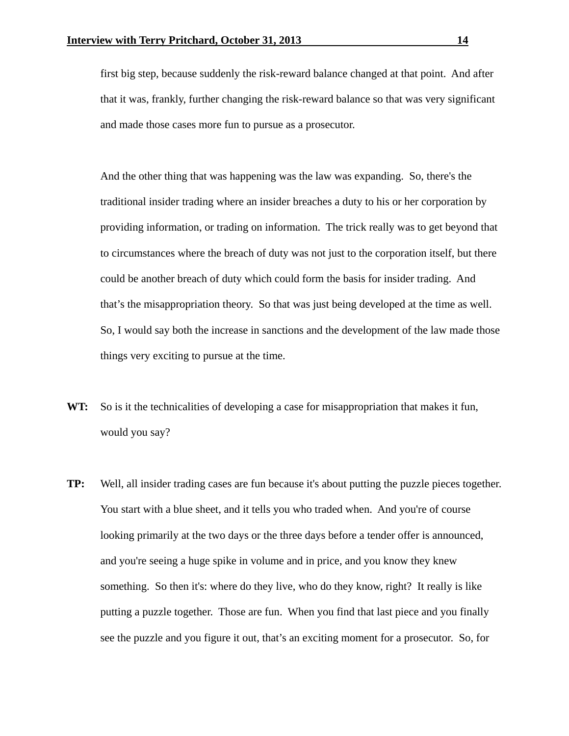first big step, because suddenly the risk-reward balance changed at that point. And after that it was, frankly, further changing the risk-reward balance so that was very significant and made those cases more fun to pursue as a prosecutor.

 And the other thing that was happening was the law was expanding. So, there's the traditional insider trading where an insider breaches a duty to his or her corporation by providing information, or trading on information. The trick really was to get beyond that to circumstances where the breach of duty was not just to the corporation itself, but there could be another breach of duty which could form the basis for insider trading. And that's the misappropriation theory. So that was just being developed at the time as well. So, I would say both the increase in sanctions and the development of the law made those things very exciting to pursue at the time.

- **WT:** So is it the technicalities of developing a case for misappropriation that makes it fun, would you say?
- **TP:** Well, all insider trading cases are fun because it's about putting the puzzle pieces together. You start with a blue sheet, and it tells you who traded when. And you're of course looking primarily at the two days or the three days before a tender offer is announced, and you're seeing a huge spike in volume and in price, and you know they knew something. So then it's: where do they live, who do they know, right? It really is like putting a puzzle together. Those are fun. When you find that last piece and you finally see the puzzle and you figure it out, that's an exciting moment for a prosecutor. So, for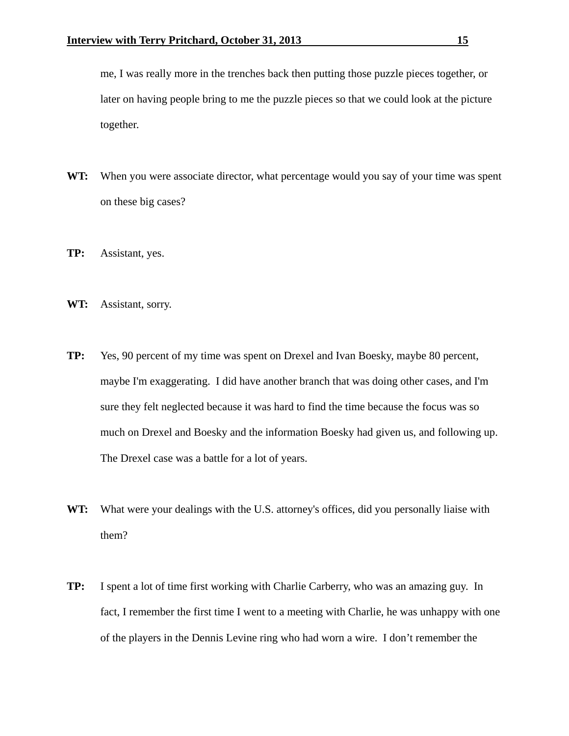me, I was really more in the trenches back then putting those puzzle pieces together, or later on having people bring to me the puzzle pieces so that we could look at the picture together.

- **WT:** When you were associate director, what percentage would you say of your time was spent on these big cases?
- **TP:** Assistant, yes.
- **WT:** Assistant, sorry.
- **TP:** Yes, 90 percent of my time was spent on Drexel and Ivan Boesky, maybe 80 percent, maybe I'm exaggerating. I did have another branch that was doing other cases, and I'm sure they felt neglected because it was hard to find the time because the focus was so much on Drexel and Boesky and the information Boesky had given us, and following up. The Drexel case was a battle for a lot of years.
- **WT:** What were your dealings with the U.S. attorney's offices, did you personally liaise with them?
- **TP:** I spent a lot of time first working with Charlie Carberry, who was an amazing guy. In fact, I remember the first time I went to a meeting with Charlie, he was unhappy with one of the players in the Dennis Levine ring who had worn a wire. I don't remember the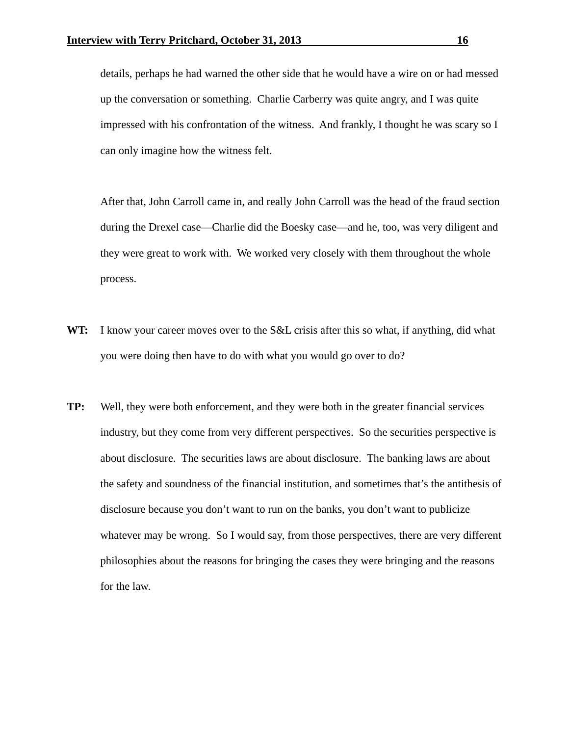details, perhaps he had warned the other side that he would have a wire on or had messed up the conversation or something. Charlie Carberry was quite angry, and I was quite impressed with his confrontation of the witness. And frankly, I thought he was scary so I can only imagine how the witness felt.

 After that, John Carroll came in, and really John Carroll was the head of the fraud section during the Drexel case—Charlie did the Boesky case—and he, too, was very diligent and they were great to work with. We worked very closely with them throughout the whole process.

- **WT:** I know your career moves over to the S&L crisis after this so what, if anything, did what you were doing then have to do with what you would go over to do?
- **TP:** Well, they were both enforcement, and they were both in the greater financial services industry, but they come from very different perspectives. So the securities perspective is about disclosure. The securities laws are about disclosure. The banking laws are about the safety and soundness of the financial institution, and sometimes that's the antithesis of disclosure because you don't want to run on the banks, you don't want to publicize whatever may be wrong. So I would say, from those perspectives, there are very different philosophies about the reasons for bringing the cases they were bringing and the reasons for the law.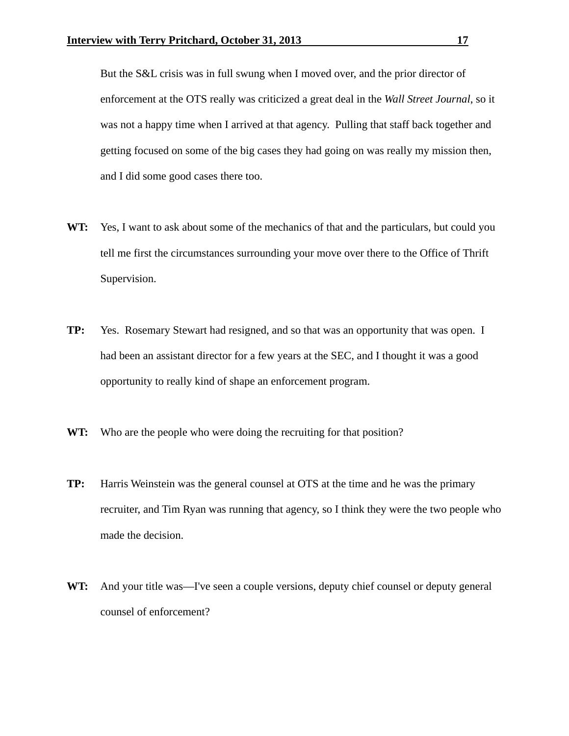But the S&L crisis was in full swung when I moved over, and the prior director of enforcement at the OTS really was criticized a great deal in the *Wall Street Journal*, so it was not a happy time when I arrived at that agency. Pulling that staff back together and getting focused on some of the big cases they had going on was really my mission then, and I did some good cases there too.

- **WT:** Yes, I want to ask about some of the mechanics of that and the particulars, but could you tell me first the circumstances surrounding your move over there to the Office of Thrift Supervision.
- **TP:** Yes. Rosemary Stewart had resigned, and so that was an opportunity that was open. I had been an assistant director for a few years at the SEC, and I thought it was a good opportunity to really kind of shape an enforcement program.
- WT: Who are the people who were doing the recruiting for that position?
- **TP:** Harris Weinstein was the general counsel at OTS at the time and he was the primary recruiter, and Tim Ryan was running that agency, so I think they were the two people who made the decision.
- **WT:** And your title was—I've seen a couple versions, deputy chief counsel or deputy general counsel of enforcement?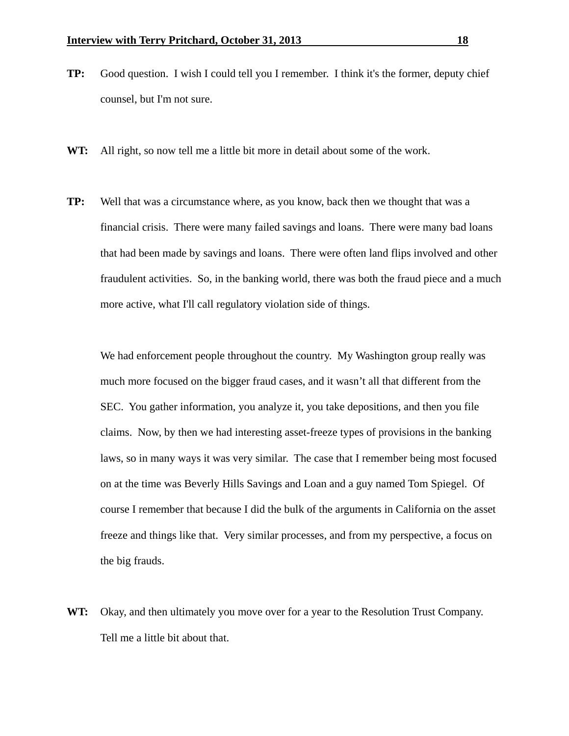- **TP:** Good question. I wish I could tell you I remember. I think it's the former, deputy chief counsel, but I'm not sure.
- **WT:** All right, so now tell me a little bit more in detail about some of the work.
- **TP:** Well that was a circumstance where, as you know, back then we thought that was a financial crisis. There were many failed savings and loans. There were many bad loans that had been made by savings and loans. There were often land flips involved and other fraudulent activities. So, in the banking world, there was both the fraud piece and a much more active, what I'll call regulatory violation side of things.

We had enforcement people throughout the country. My Washington group really was much more focused on the bigger fraud cases, and it wasn't all that different from the SEC. You gather information, you analyze it, you take depositions, and then you file claims. Now, by then we had interesting asset-freeze types of provisions in the banking laws, so in many ways it was very similar. The case that I remember being most focused on at the time was Beverly Hills Savings and Loan and a guy named Tom Spiegel. Of course I remember that because I did the bulk of the arguments in California on the asset freeze and things like that. Very similar processes, and from my perspective, a focus on the big frauds.

**WT:** Okay, and then ultimately you move over for a year to the Resolution Trust Company. Tell me a little bit about that.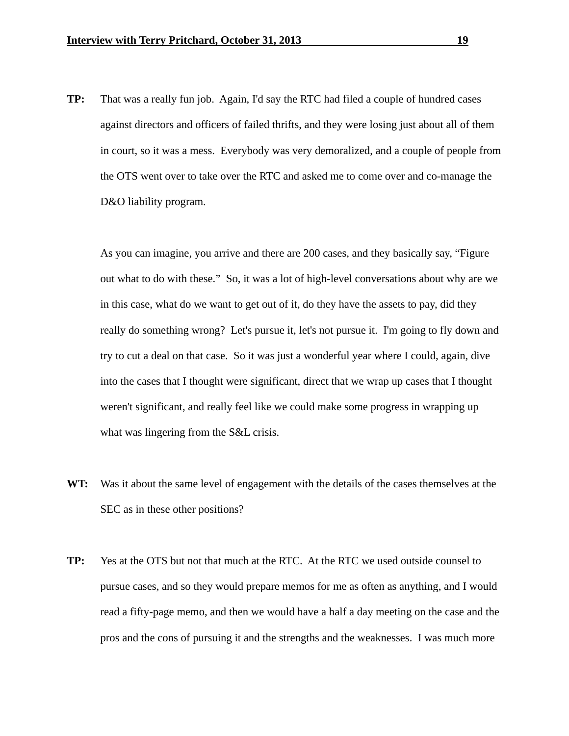**TP:** That was a really fun job. Again, I'd say the RTC had filed a couple of hundred cases against directors and officers of failed thrifts, and they were losing just about all of them in court, so it was a mess. Everybody was very demoralized, and a couple of people from the OTS went over to take over the RTC and asked me to come over and co-manage the D&O liability program.

 As you can imagine, you arrive and there are 200 cases, and they basically say, "Figure out what to do with these." So, it was a lot of high-level conversations about why are we in this case, what do we want to get out of it, do they have the assets to pay, did they really do something wrong? Let's pursue it, let's not pursue it. I'm going to fly down and try to cut a deal on that case. So it was just a wonderful year where I could, again, dive into the cases that I thought were significant, direct that we wrap up cases that I thought weren't significant, and really feel like we could make some progress in wrapping up what was lingering from the S&L crisis.

- **WT:** Was it about the same level of engagement with the details of the cases themselves at the SEC as in these other positions?
- **TP:** Yes at the OTS but not that much at the RTC. At the RTC we used outside counsel to pursue cases, and so they would prepare memos for me as often as anything, and I would read a fifty-page memo, and then we would have a half a day meeting on the case and the pros and the cons of pursuing it and the strengths and the weaknesses. I was much more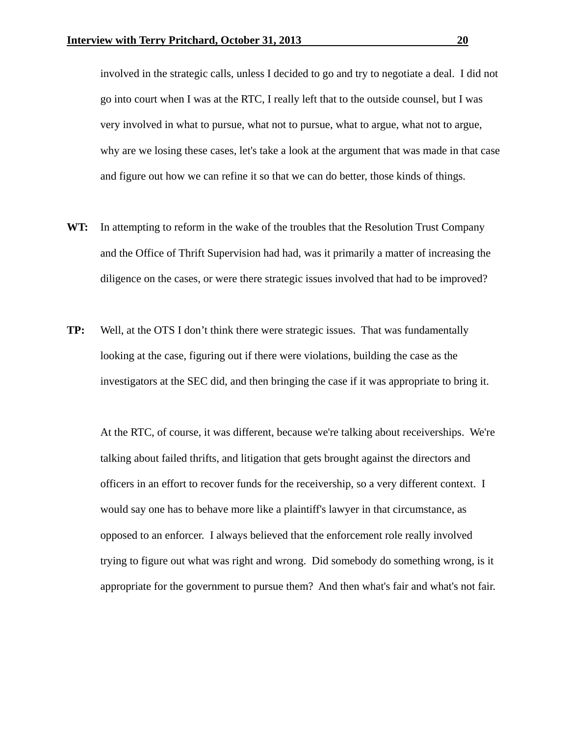involved in the strategic calls, unless I decided to go and try to negotiate a deal. I did not go into court when I was at the RTC, I really left that to the outside counsel, but I was very involved in what to pursue, what not to pursue, what to argue, what not to argue, why are we losing these cases, let's take a look at the argument that was made in that case and figure out how we can refine it so that we can do better, those kinds of things.

- **WT:** In attempting to reform in the wake of the troubles that the Resolution Trust Company and the Office of Thrift Supervision had had, was it primarily a matter of increasing the diligence on the cases, or were there strategic issues involved that had to be improved?
- **TP:** Well, at the OTS I don't think there were strategic issues. That was fundamentally looking at the case, figuring out if there were violations, building the case as the investigators at the SEC did, and then bringing the case if it was appropriate to bring it.

 At the RTC, of course, it was different, because we're talking about receiverships. We're talking about failed thrifts, and litigation that gets brought against the directors and officers in an effort to recover funds for the receivership, so a very different context. I would say one has to behave more like a plaintiff's lawyer in that circumstance, as opposed to an enforcer. I always believed that the enforcement role really involved trying to figure out what was right and wrong. Did somebody do something wrong, is it appropriate for the government to pursue them? And then what's fair and what's not fair.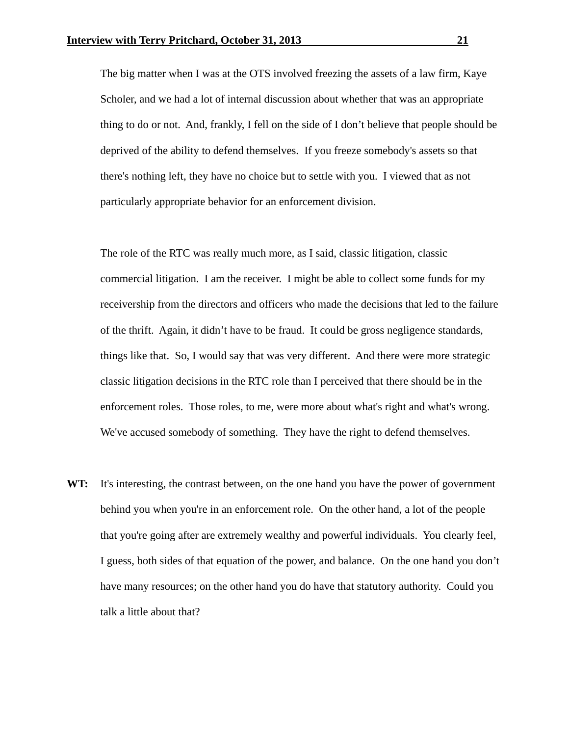The big matter when I was at the OTS involved freezing the assets of a law firm, Kaye Scholer, and we had a lot of internal discussion about whether that was an appropriate thing to do or not. And, frankly, I fell on the side of I don't believe that people should be deprived of the ability to defend themselves. If you freeze somebody's assets so that there's nothing left, they have no choice but to settle with you. I viewed that as not particularly appropriate behavior for an enforcement division.

 The role of the RTC was really much more, as I said, classic litigation, classic commercial litigation. I am the receiver. I might be able to collect some funds for my receivership from the directors and officers who made the decisions that led to the failure of the thrift. Again, it didn't have to be fraud. It could be gross negligence standards, things like that. So, I would say that was very different. And there were more strategic classic litigation decisions in the RTC role than I perceived that there should be in the enforcement roles. Those roles, to me, were more about what's right and what's wrong. We've accused somebody of something. They have the right to defend themselves.

**WT:** It's interesting, the contrast between, on the one hand you have the power of government behind you when you're in an enforcement role. On the other hand, a lot of the people that you're going after are extremely wealthy and powerful individuals. You clearly feel, I guess, both sides of that equation of the power, and balance. On the one hand you don't have many resources; on the other hand you do have that statutory authority. Could you talk a little about that?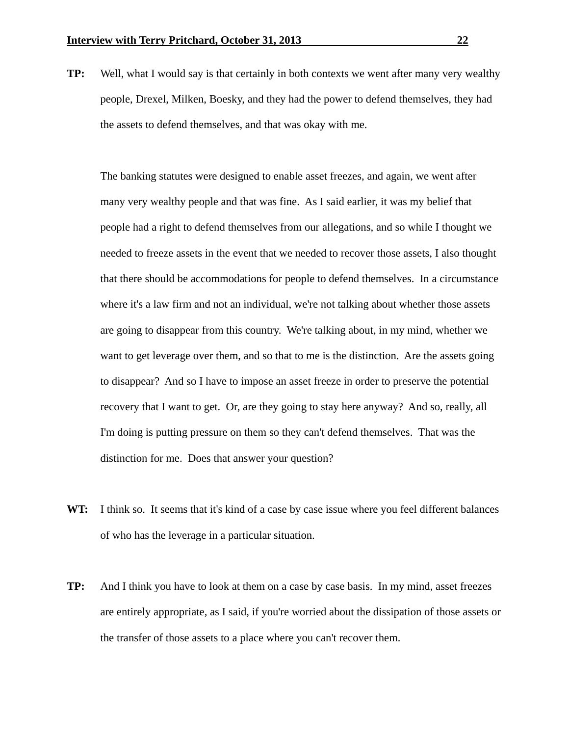**TP:** Well, what I would say is that certainly in both contexts we went after many very wealthy people, Drexel, Milken, Boesky, and they had the power to defend themselves, they had the assets to defend themselves, and that was okay with me.

 The banking statutes were designed to enable asset freezes, and again, we went after many very wealthy people and that was fine. As I said earlier, it was my belief that people had a right to defend themselves from our allegations, and so while I thought we needed to freeze assets in the event that we needed to recover those assets, I also thought that there should be accommodations for people to defend themselves. In a circumstance where it's a law firm and not an individual, we're not talking about whether those assets are going to disappear from this country. We're talking about, in my mind, whether we want to get leverage over them, and so that to me is the distinction. Are the assets going to disappear? And so I have to impose an asset freeze in order to preserve the potential recovery that I want to get. Or, are they going to stay here anyway? And so, really, all I'm doing is putting pressure on them so they can't defend themselves. That was the distinction for me. Does that answer your question?

- WT: I think so. It seems that it's kind of a case by case issue where you feel different balances of who has the leverage in a particular situation.
- **TP:** And I think you have to look at them on a case by case basis. In my mind, asset freezes are entirely appropriate, as I said, if you're worried about the dissipation of those assets or the transfer of those assets to a place where you can't recover them.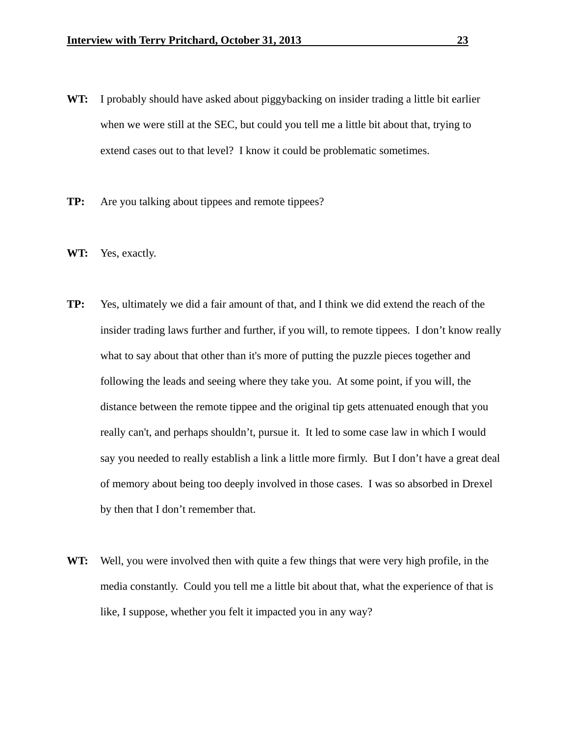- **WT:** I probably should have asked about piggybacking on insider trading a little bit earlier when we were still at the SEC, but could you tell me a little bit about that, trying to extend cases out to that level? I know it could be problematic sometimes.
- **TP:** Are you talking about tippees and remote tippees?
- **WT:** Yes, exactly.
- **TP:** Yes, ultimately we did a fair amount of that, and I think we did extend the reach of the insider trading laws further and further, if you will, to remote tippees. I don't know really what to say about that other than it's more of putting the puzzle pieces together and following the leads and seeing where they take you. At some point, if you will, the distance between the remote tippee and the original tip gets attenuated enough that you really can't, and perhaps shouldn't, pursue it. It led to some case law in which I would say you needed to really establish a link a little more firmly. But I don't have a great deal of memory about being too deeply involved in those cases. I was so absorbed in Drexel by then that I don't remember that.
- **WT:** Well, you were involved then with quite a few things that were very high profile, in the media constantly. Could you tell me a little bit about that, what the experience of that is like, I suppose, whether you felt it impacted you in any way?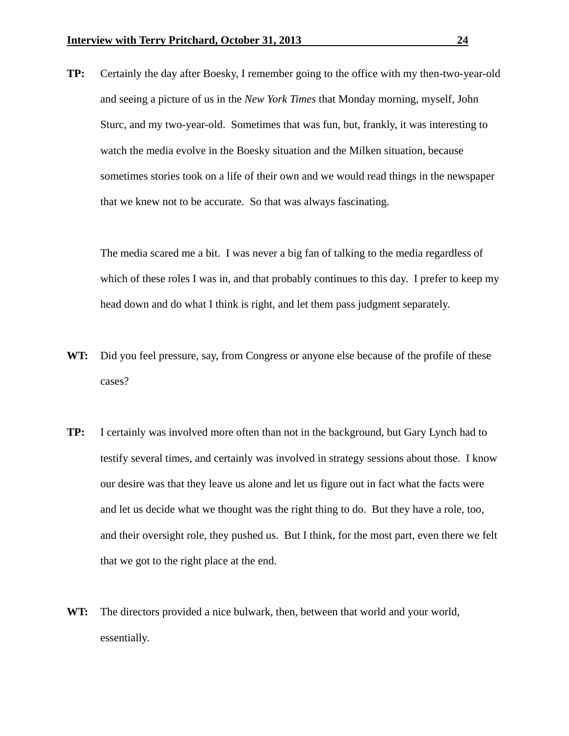**TP:** Certainly the day after Boesky, I remember going to the office with my then-two-year-old and seeing a picture of us in the *New York Times* that Monday morning, myself, John Sturc, and my two-year-old. Sometimes that was fun, but, frankly, it was interesting to watch the media evolve in the Boesky situation and the Milken situation, because sometimes stories took on a life of their own and we would read things in the newspaper that we knew not to be accurate. So that was always fascinating.

 The media scared me a bit. I was never a big fan of talking to the media regardless of which of these roles I was in, and that probably continues to this day. I prefer to keep my head down and do what I think is right, and let them pass judgment separately.

- **WT:** Did you feel pressure, say, from Congress or anyone else because of the profile of these cases?
- **TP:** I certainly was involved more often than not in the background, but Gary Lynch had to testify several times, and certainly was involved in strategy sessions about those. I know our desire was that they leave us alone and let us figure out in fact what the facts were and let us decide what we thought was the right thing to do. But they have a role, too, and their oversight role, they pushed us. But I think, for the most part, even there we felt that we got to the right place at the end.
- **WT:** The directors provided a nice bulwark, then, between that world and your world, essentially.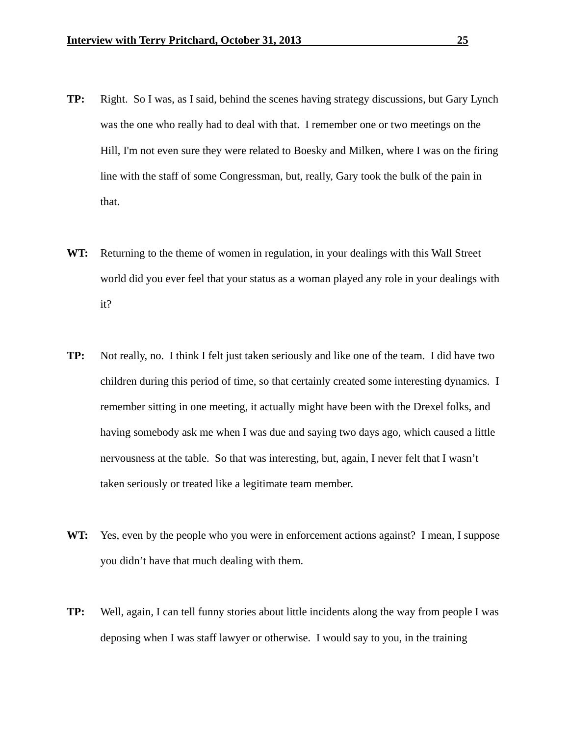- **TP:** Right. So I was, as I said, behind the scenes having strategy discussions, but Gary Lynch was the one who really had to deal with that. I remember one or two meetings on the Hill, I'm not even sure they were related to Boesky and Milken, where I was on the firing line with the staff of some Congressman, but, really, Gary took the bulk of the pain in that.
- **WT:** Returning to the theme of women in regulation, in your dealings with this Wall Street world did you ever feel that your status as a woman played any role in your dealings with it?
- **TP:** Not really, no. I think I felt just taken seriously and like one of the team. I did have two children during this period of time, so that certainly created some interesting dynamics. I remember sitting in one meeting, it actually might have been with the Drexel folks, and having somebody ask me when I was due and saying two days ago, which caused a little nervousness at the table. So that was interesting, but, again, I never felt that I wasn't taken seriously or treated like a legitimate team member.
- **WT:** Yes, even by the people who you were in enforcement actions against? I mean, I suppose you didn't have that much dealing with them.
- **TP:** Well, again, I can tell funny stories about little incidents along the way from people I was deposing when I was staff lawyer or otherwise. I would say to you, in the training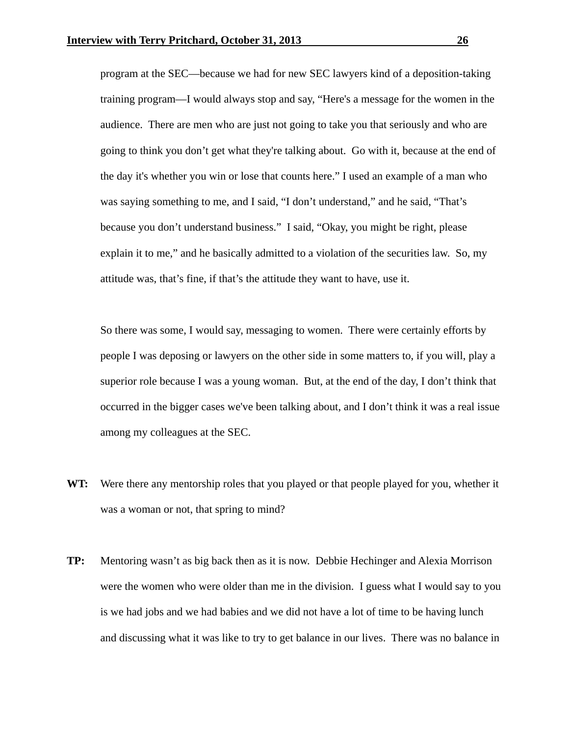program at the SEC—because we had for new SEC lawyers kind of a deposition-taking training program—I would always stop and say, "Here's a message for the women in the audience. There are men who are just not going to take you that seriously and who are going to think you don't get what they're talking about. Go with it, because at the end of the day it's whether you win or lose that counts here." I used an example of a man who was saying something to me, and I said, "I don't understand," and he said, "That's because you don't understand business." I said, "Okay, you might be right, please explain it to me," and he basically admitted to a violation of the securities law. So, my attitude was, that's fine, if that's the attitude they want to have, use it.

 So there was some, I would say, messaging to women. There were certainly efforts by people I was deposing or lawyers on the other side in some matters to, if you will, play a superior role because I was a young woman. But, at the end of the day, I don't think that occurred in the bigger cases we've been talking about, and I don't think it was a real issue among my colleagues at the SEC.

- **WT:** Were there any mentorship roles that you played or that people played for you, whether it was a woman or not, that spring to mind?
- **TP:** Mentoring wasn't as big back then as it is now. Debbie Hechinger and Alexia Morrison were the women who were older than me in the division. I guess what I would say to you is we had jobs and we had babies and we did not have a lot of time to be having lunch and discussing what it was like to try to get balance in our lives. There was no balance in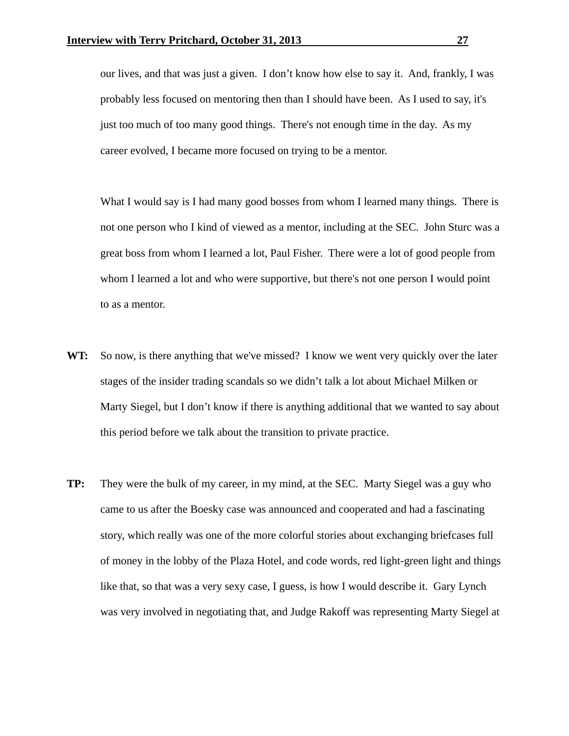our lives, and that was just a given. I don't know how else to say it. And, frankly, I was probably less focused on mentoring then than I should have been. As I used to say, it's just too much of too many good things. There's not enough time in the day. As my career evolved, I became more focused on trying to be a mentor.

 What I would say is I had many good bosses from whom I learned many things. There is not one person who I kind of viewed as a mentor, including at the SEC. John Sturc was a great boss from whom I learned a lot, Paul Fisher. There were a lot of good people from whom I learned a lot and who were supportive, but there's not one person I would point to as a mentor.

- **WT:** So now, is there anything that we've missed? I know we went very quickly over the later stages of the insider trading scandals so we didn't talk a lot about Michael Milken or Marty Siegel, but I don't know if there is anything additional that we wanted to say about this period before we talk about the transition to private practice.
- **TP:** They were the bulk of my career, in my mind, at the SEC. Marty Siegel was a guy who came to us after the Boesky case was announced and cooperated and had a fascinating story, which really was one of the more colorful stories about exchanging briefcases full of money in the lobby of the Plaza Hotel, and code words, red light-green light and things like that, so that was a very sexy case, I guess, is how I would describe it. Gary Lynch was very involved in negotiating that, and Judge Rakoff was representing Marty Siegel at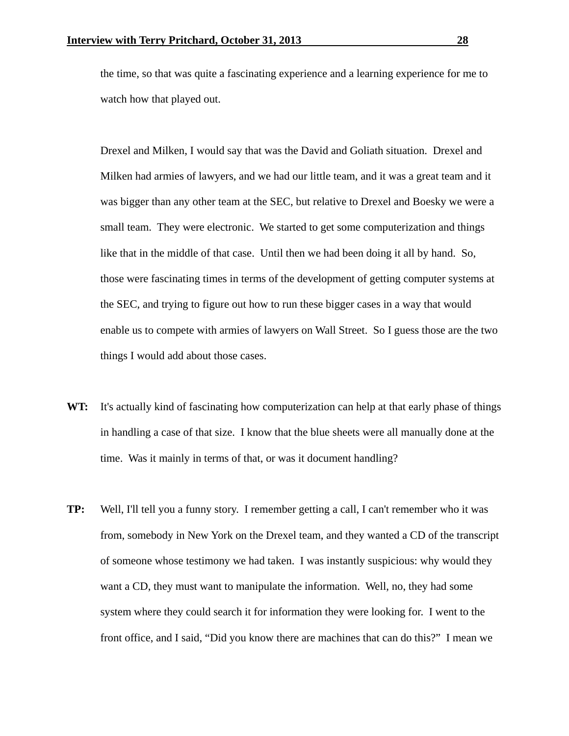the time, so that was quite a fascinating experience and a learning experience for me to watch how that played out.

 Drexel and Milken, I would say that was the David and Goliath situation. Drexel and Milken had armies of lawyers, and we had our little team, and it was a great team and it was bigger than any other team at the SEC, but relative to Drexel and Boesky we were a small team. They were electronic. We started to get some computerization and things like that in the middle of that case. Until then we had been doing it all by hand. So, those were fascinating times in terms of the development of getting computer systems at the SEC, and trying to figure out how to run these bigger cases in a way that would enable us to compete with armies of lawyers on Wall Street. So I guess those are the two things I would add about those cases.

- **WT:** It's actually kind of fascinating how computerization can help at that early phase of things in handling a case of that size. I know that the blue sheets were all manually done at the time. Was it mainly in terms of that, or was it document handling?
- **TP:** Well, I'll tell you a funny story. I remember getting a call, I can't remember who it was from, somebody in New York on the Drexel team, and they wanted a CD of the transcript of someone whose testimony we had taken. I was instantly suspicious: why would they want a CD, they must want to manipulate the information. Well, no, they had some system where they could search it for information they were looking for. I went to the front office, and I said, "Did you know there are machines that can do this?" I mean we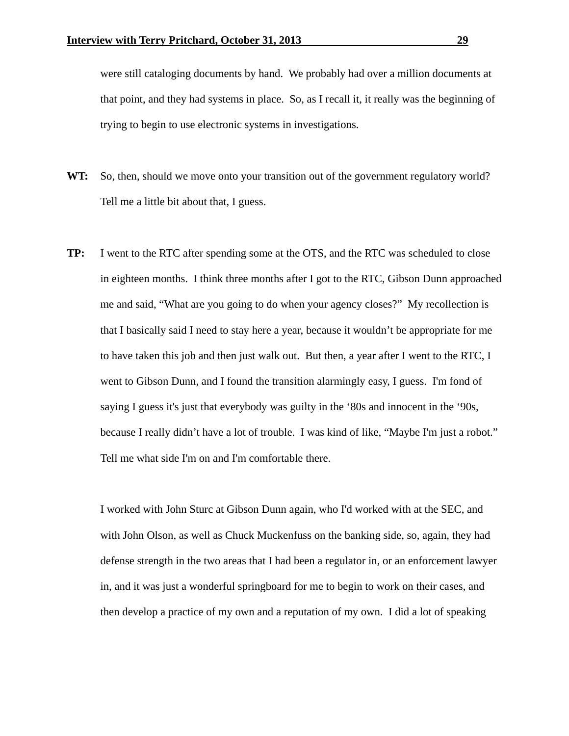were still cataloging documents by hand. We probably had over a million documents at that point, and they had systems in place. So, as I recall it, it really was the beginning of trying to begin to use electronic systems in investigations.

- **WT:** So, then, should we move onto your transition out of the government regulatory world? Tell me a little bit about that, I guess.
- **TP:** I went to the RTC after spending some at the OTS, and the RTC was scheduled to close in eighteen months. I think three months after I got to the RTC, Gibson Dunn approached me and said, "What are you going to do when your agency closes?" My recollection is that I basically said I need to stay here a year, because it wouldn't be appropriate for me to have taken this job and then just walk out. But then, a year after I went to the RTC, I went to Gibson Dunn, and I found the transition alarmingly easy, I guess. I'm fond of saying I guess it's just that everybody was guilty in the '80s and innocent in the '90s, because I really didn't have a lot of trouble. I was kind of like, "Maybe I'm just a robot." Tell me what side I'm on and I'm comfortable there.

 I worked with John Sturc at Gibson Dunn again, who I'd worked with at the SEC, and with John Olson, as well as Chuck Muckenfuss on the banking side, so, again, they had defense strength in the two areas that I had been a regulator in, or an enforcement lawyer in, and it was just a wonderful springboard for me to begin to work on their cases, and then develop a practice of my own and a reputation of my own. I did a lot of speaking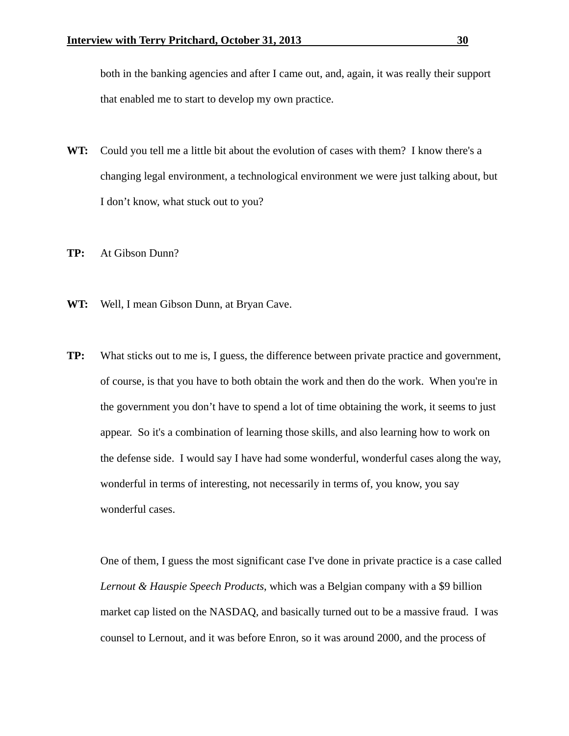both in the banking agencies and after I came out, and, again, it was really their support that enabled me to start to develop my own practice.

- **WT:** Could you tell me a little bit about the evolution of cases with them? I know there's a changing legal environment, a technological environment we were just talking about, but I don't know, what stuck out to you?
- **TP:** At Gibson Dunn?
- **WT:** Well, I mean Gibson Dunn, at Bryan Cave.
- **TP:** What sticks out to me is, I guess, the difference between private practice and government, of course, is that you have to both obtain the work and then do the work. When you're in the government you don't have to spend a lot of time obtaining the work, it seems to just appear. So it's a combination of learning those skills, and also learning how to work on the defense side. I would say I have had some wonderful, wonderful cases along the way, wonderful in terms of interesting, not necessarily in terms of, you know, you say wonderful cases.

 One of them, I guess the most significant case I've done in private practice is a case called *Lernout & Hauspie Speech Products*, which was a Belgian company with a \$9 billion market cap listed on the NASDAQ, and basically turned out to be a massive fraud. I was counsel to Lernout, and it was before Enron, so it was around 2000, and the process of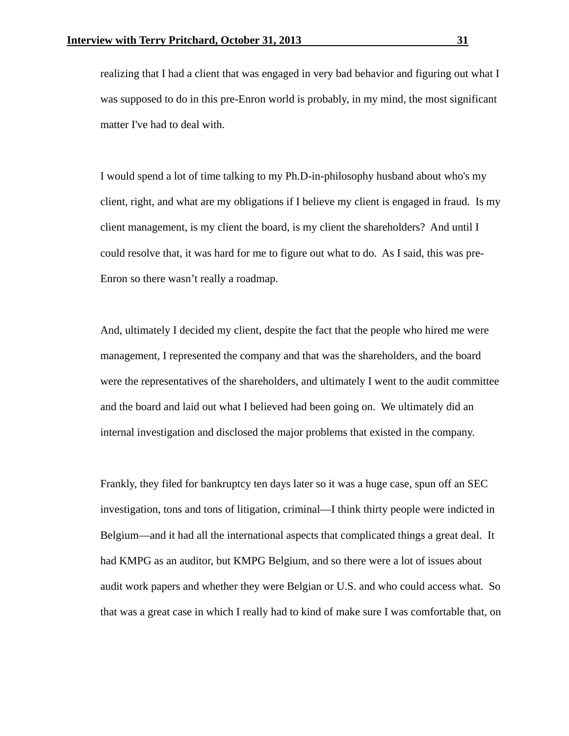realizing that I had a client that was engaged in very bad behavior and figuring out what I was supposed to do in this pre-Enron world is probably, in my mind, the most significant matter I've had to deal with.

 I would spend a lot of time talking to my Ph.D-in-philosophy husband about who's my client, right, and what are my obligations if I believe my client is engaged in fraud. Is my client management, is my client the board, is my client the shareholders? And until I could resolve that, it was hard for me to figure out what to do. As I said, this was pre-Enron so there wasn't really a roadmap.

 And, ultimately I decided my client, despite the fact that the people who hired me were management, I represented the company and that was the shareholders, and the board were the representatives of the shareholders, and ultimately I went to the audit committee and the board and laid out what I believed had been going on. We ultimately did an internal investigation and disclosed the major problems that existed in the company.

 Frankly, they filed for bankruptcy ten days later so it was a huge case, spun off an SEC investigation, tons and tons of litigation, criminal—I think thirty people were indicted in Belgium—and it had all the international aspects that complicated things a great deal. It had KMPG as an auditor, but KMPG Belgium, and so there were a lot of issues about audit work papers and whether they were Belgian or U.S. and who could access what. So that was a great case in which I really had to kind of make sure I was comfortable that, on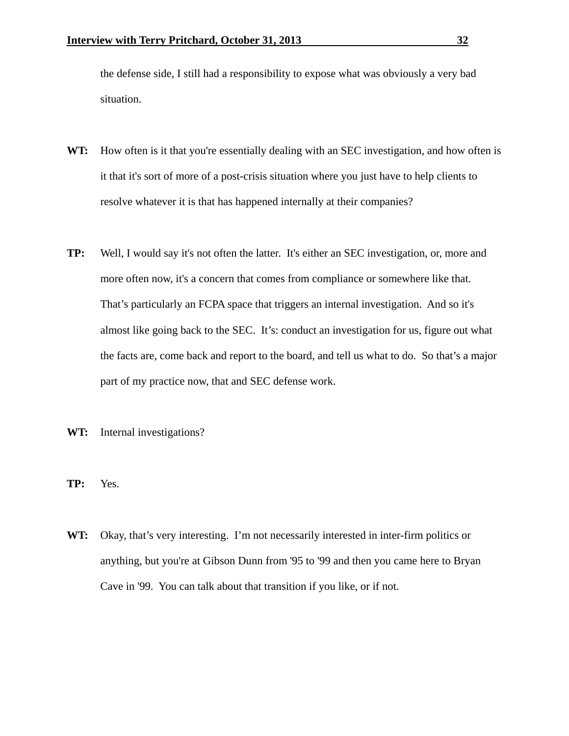the defense side, I still had a responsibility to expose what was obviously a very bad situation.

- WT: How often is it that you're essentially dealing with an SEC investigation, and how often is it that it's sort of more of a post-crisis situation where you just have to help clients to resolve whatever it is that has happened internally at their companies?
- **TP:** Well, I would say it's not often the latter. It's either an SEC investigation, or, more and more often now, it's a concern that comes from compliance or somewhere like that. That's particularly an FCPA space that triggers an internal investigation. And so it's almost like going back to the SEC. It's: conduct an investigation for us, figure out what the facts are, come back and report to the board, and tell us what to do. So that's a major part of my practice now, that and SEC defense work.
- **WT:** Internal investigations?
- **TP:** Yes.
- **WT:** Okay, that's very interesting. I'm not necessarily interested in inter-firm politics or anything, but you're at Gibson Dunn from '95 to '99 and then you came here to Bryan Cave in '99. You can talk about that transition if you like, or if not.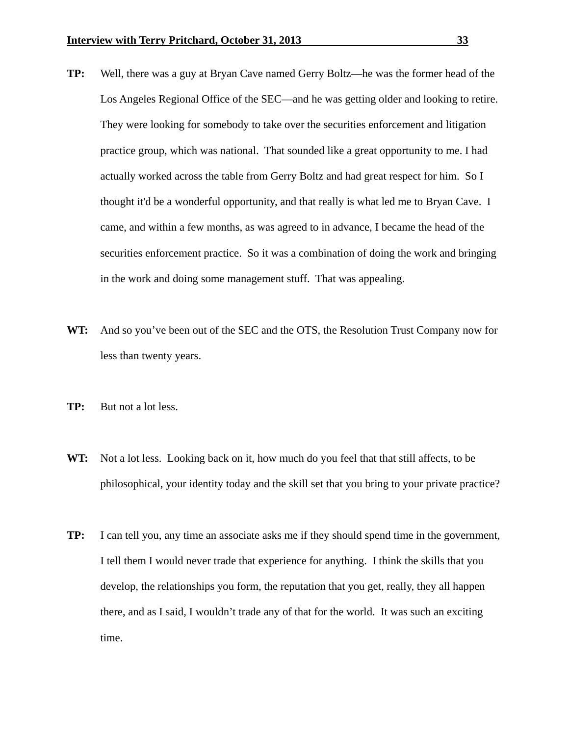- **TP:** Well, there was a guy at Bryan Cave named Gerry Boltz—he was the former head of the Los Angeles Regional Office of the SEC—and he was getting older and looking to retire. They were looking for somebody to take over the securities enforcement and litigation practice group, which was national. That sounded like a great opportunity to me. I had actually worked across the table from Gerry Boltz and had great respect for him. So I thought it'd be a wonderful opportunity, and that really is what led me to Bryan Cave. I came, and within a few months, as was agreed to in advance, I became the head of the securities enforcement practice. So it was a combination of doing the work and bringing in the work and doing some management stuff. That was appealing.
- **WT:** And so you've been out of the SEC and the OTS, the Resolution Trust Company now for less than twenty years.
- **TP:** But not a lot less.
- **WT:** Not a lot less. Looking back on it, how much do you feel that that still affects, to be philosophical, your identity today and the skill set that you bring to your private practice?
- **TP:** I can tell you, any time an associate asks me if they should spend time in the government, I tell them I would never trade that experience for anything. I think the skills that you develop, the relationships you form, the reputation that you get, really, they all happen there, and as I said, I wouldn't trade any of that for the world. It was such an exciting time.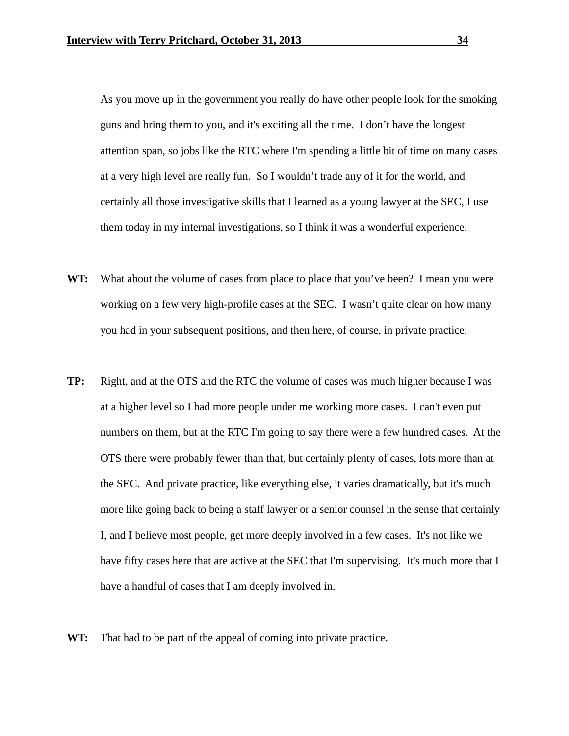As you move up in the government you really do have other people look for the smoking guns and bring them to you, and it's exciting all the time. I don't have the longest attention span, so jobs like the RTC where I'm spending a little bit of time on many cases at a very high level are really fun. So I wouldn't trade any of it for the world, and certainly all those investigative skills that I learned as a young lawyer at the SEC, I use them today in my internal investigations, so I think it was a wonderful experience.

- **WT:** What about the volume of cases from place to place that you've been? I mean you were working on a few very high-profile cases at the SEC. I wasn't quite clear on how many you had in your subsequent positions, and then here, of course, in private practice.
- **TP:** Right, and at the OTS and the RTC the volume of cases was much higher because I was at a higher level so I had more people under me working more cases. I can't even put numbers on them, but at the RTC I'm going to say there were a few hundred cases. At the OTS there were probably fewer than that, but certainly plenty of cases, lots more than at the SEC. And private practice, like everything else, it varies dramatically, but it's much more like going back to being a staff lawyer or a senior counsel in the sense that certainly I, and I believe most people, get more deeply involved in a few cases. It's not like we have fifty cases here that are active at the SEC that I'm supervising. It's much more that I have a handful of cases that I am deeply involved in.
- WT: That had to be part of the appeal of coming into private practice.